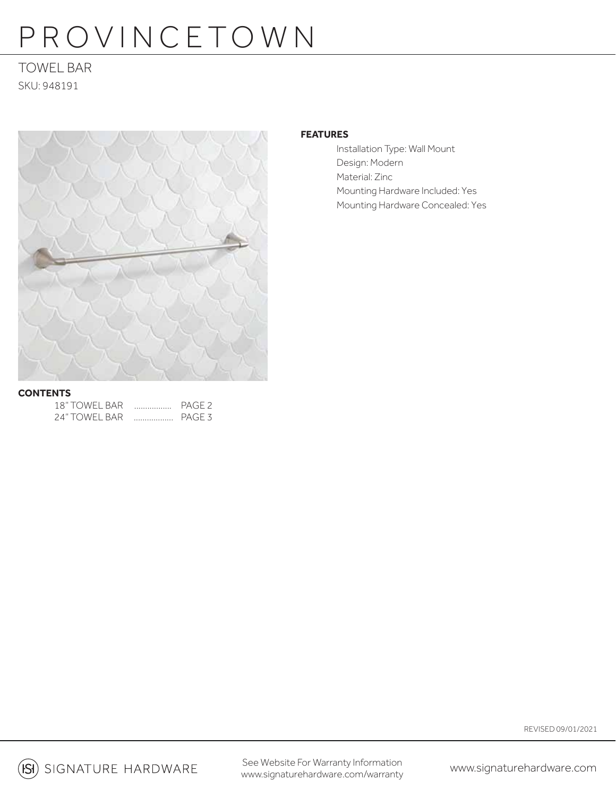# PROVINCETOWN

### TOWEL BAR SKU: 948191



#### **FEATURES**

Installation Type: Wall Mount Design: Modern Material: Zinc Mounting Hardware Included: Yes Mounting Hardware Concealed: Yes

#### **CONTENTS**

| 18" TOWFL BAR | <br>PAGE <sub>2</sub> |
|---------------|-----------------------|
| 24" TOWFL BAR | PAGE <sub>3</sub>     |

REVISED 09/01/2021

(ISI) SIGNATURE HARDWARE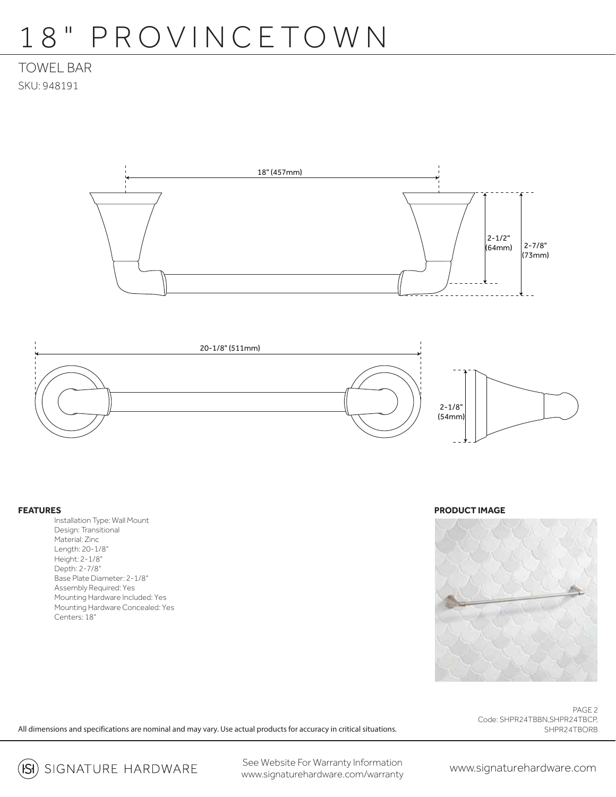## 18" PROVINCETOWN

## TOWEL BAR SKU: 948191





#### **FEATURES**

 Installation Type: Wall Mount Design: Transitional Material: Zinc Length: 20-1/8" Height: 2-1/8" Depth: 2-7/8" Base Plate Diameter: 2-1/8" Assembly Required: Yes Mounting Hardware Included: Yes Mounting Hardware Concealed: Yes Centers: 18"

**PRODUCT IMAGE**



PAGE 2 Code: SHPR24TBBN,SHPR24TBCP, SHPR24TBORB

All dimensions and specifications are nominal and may vary. Use actual products for accuracy in critical situations.

(ISI) SIGNATURE HARDWARE

See Website For Warranty Information www.signaturehardware.com/warranty www.signaturehardware.com